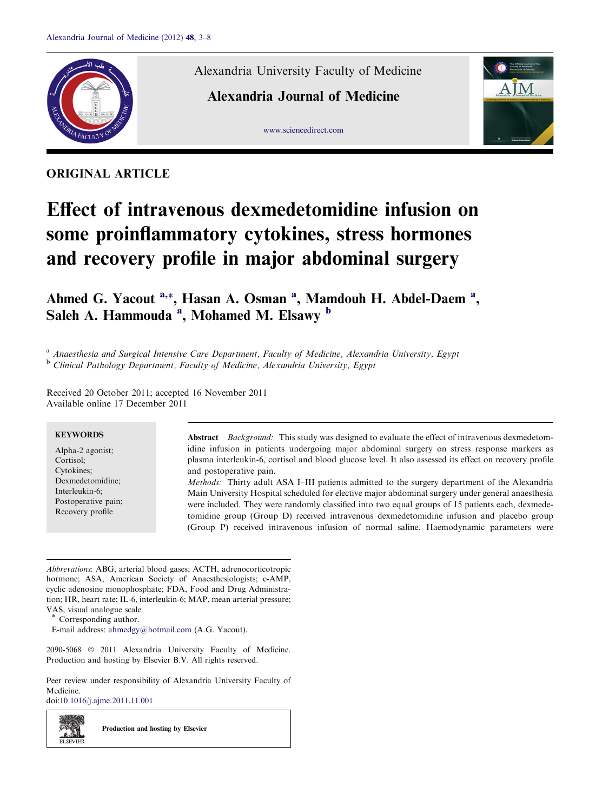

ORIGINAL ARTICLE

Alexandria University Faculty of Medicine

[www.sciencedirect.com](http://www.sciencedirect.com/science/journal/20905068)

Alexandria Journal of Medicine



# Effect of intravenous dexmedetomidine infusion on some proinflammatory cytokines, stress hormones and recovery profile in major abdominal surgery

Ahmed G. Yacout <sup>a,\*</sup>, Hasan A. Osman <sup>a</sup>, Mamdouh H. Abdel-Daem <sup>a</sup>, Saleh A. Hammouda<sup>'a</sup>, Mohamed M. Elsawy <sup>b</sup>

<sup>a</sup> Anaesthesia and Surgical Intensive Care Department, Faculty of Medicine, Alexandria University, Egypt <sup>b</sup> Clinical Pathology Department, Faculty of Medicine, Alexandria University, Egypt

Received 20 October 2011; accepted 16 November 2011 Available online 17 December 2011

# **KEYWORDS**

Alpha-2 agonist; Cortisol; Cytokines; Dexmedetomidine; Interleukin-6; Postoperative pain; Recovery profile

Abstract Background: This study was designed to evaluate the effect of intravenous dexmedetomidine infusion in patients undergoing major abdominal surgery on stress response markers as plasma interleukin-6, cortisol and blood glucose level. It also assessed its effect on recovery profile and postoperative pain.

Methods: Thirty adult ASA I–III patients admitted to the surgery department of the Alexandria Main University Hospital scheduled for elective major abdominal surgery under general anaesthesia were included. They were randomly classified into two equal groups of 15 patients each, dexmedetomidine group (Group D) received intravenous dexmedetomidine infusion and placebo group (Group P) received intravenous infusion of normal saline. Haemodynamic parameters were

Abbrevations: ABG, arterial blood gases; ACTH, adrenocorticotropic hormone; ASA, American Society of Anaesthesiologists; c-AMP, cyclic adenosine monophosphate; FDA, Food and Drug Administration; HR, heart rate; IL-6, interleukin-6; MAP, mean arterial pressure; VAS, visual analogue scale

E-mail address: [ahmedgy@hotmail.com](mailto:ahmedgy@hotmail.com) (A.G. Yacout).

2090-5068 © 2011 Alexandria University Faculty of Medicine. Production and hosting by Elsevier B.V. All rights reserved.

Peer review under responsibility of Alexandria University Faculty of Medicine.

doi[:10.1016/j.ajme.2011.11.001](http://dx.doi.org/10.1016/j.ajme.2011.11.001)

z. SI **ELSEVIEE**  Production and hosting by Elsevier

Corresponding author.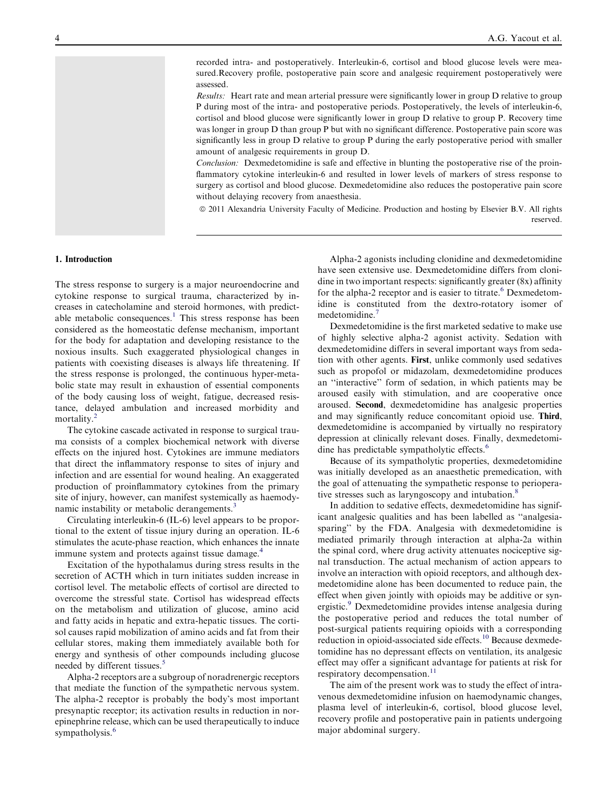recorded intra- and postoperatively. Interleukin-6, cortisol and blood glucose levels were measured.Recovery profile, postoperative pain score and analgesic requirement postoperatively were assessed.

Results: Heart rate and mean arterial pressure were significantly lower in group D relative to group P during most of the intra- and postoperative periods. Postoperatively, the levels of interleukin-6, cortisol and blood glucose were significantly lower in group D relative to group P. Recovery time was longer in group D than group P but with no significant difference. Postoperative pain score was significantly less in group D relative to group P during the early postoperative period with smaller amount of analgesic requirements in group D.

Conclusion: Dexmedetomidine is safe and effective in blunting the postoperative rise of the proinflammatory cytokine interleukin-6 and resulted in lower levels of markers of stress response to surgery as cortisol and blood glucose. Dexmedetomidine also reduces the postoperative pain score without delaying recovery from anaesthesia.

ª 2011 Alexandria University Faculty of Medicine. Production and hosting by Elsevier B.V. All rights reserved.

## 1. Introduction

The stress response to surgery is a major neuroendocrine and cytokine response to surgical trauma, characterized by increases in catecholamine and steroid hormones, with predict-able metabolic consequences.<sup>[1](#page-4-0)</sup> This stress response has been considered as the homeostatic defense mechanism, important for the body for adaptation and developing resistance to the noxious insults. Such exaggerated physiological changes in patients with coexisting diseases is always life threatening. If the stress response is prolonged, the continuous hyper-metabolic state may result in exhaustion of essential components of the body causing loss of weight, fatigue, decreased resistance, delayed ambulation and increased morbidity and mortality.<sup>[2](#page-5-0)</sup>

The cytokine cascade activated in response to surgical trauma consists of a complex biochemical network with diverse effects on the injured host. Cytokines are immune mediators that direct the inflammatory response to sites of injury and infection and are essential for wound healing. An exaggerated production of proinflammatory cytokines from the primary site of injury, however, can manifest systemically as haemody-namic instability or metabolic derangements.<sup>[3](#page-5-0)</sup>

Circulating interleukin-6 (IL-6) level appears to be proportional to the extent of tissue injury during an operation. IL-6 stimulates the acute-phase reaction, which enhances the innate immune system and protects against tissue damage.<sup>[4](#page-5-0)</sup>

Excitation of the hypothalamus during stress results in the secretion of ACTH which in turn initiates sudden increase in cortisol level. The metabolic effects of cortisol are directed to overcome the stressful state. Cortisol has widespread effects on the metabolism and utilization of glucose, amino acid and fatty acids in hepatic and extra-hepatic tissues. The cortisol causes rapid mobilization of amino acids and fat from their cellular stores, making them immediately available both for energy and synthesis of other compounds including glucose needed by different tissues.<sup>5</sup>

Alpha-2 receptors are a subgroup of noradrenergic receptors that mediate the function of the sympathetic nervous system. The alpha-2 receptor is probably the body's most important presynaptic receptor; its activation results in reduction in norepinephrine release, which can be used therapeutically to induce sympatholysis.<sup>[6](#page-5-0)</sup>

Alpha-2 agonists including clonidine and dexmedetomidine have seen extensive use. Dexmedetomidine differs from clonidine in two important respects: significantly greater (8x) affinity for the alpha-2 receptor and is easier to titrate.<sup>[6](#page-5-0)</sup> Dexmedetomidine is constituted from the dextro-rotatory isomer of medetomidine.<sup>[7](#page-5-0)</sup>

Dexmedetomidine is the first marketed sedative to make use of highly selective alpha-2 agonist activity. Sedation with dexmedetomidine differs in several important ways from sedation with other agents. First, unlike commonly used sedatives such as propofol or midazolam, dexmedetomidine produces an ''interactive'' form of sedation, in which patients may be aroused easily with stimulation, and are cooperative once aroused. Second, dexmedetomidine has analgesic properties and may significantly reduce concomitant opioid use. Third, dexmedetomidine is accompanied by virtually no respiratory depression at clinically relevant doses. Finally, dexmedetomi-dine has predictable sympatholytic effects.<sup>[6](#page-5-0)</sup>

Because of its sympatholytic properties, dexmedetomidine was initially developed as an anaesthetic premedication, with the goal of attenuating the sympathetic response to periopera-tive stresses such as laryngoscopy and intubation.<sup>[8](#page-5-0)</sup>

In addition to sedative effects, dexmedetomidine has significant analgesic qualities and has been labelled as ''analgesiasparing'' by the FDA. Analgesia with dexmedetomidine is mediated primarily through interaction at alpha-2a within the spinal cord, where drug activity attenuates nociceptive signal transduction. The actual mechanism of action appears to involve an interaction with opioid receptors, and although dexmedetomidine alone has been documented to reduce pain, the effect when given jointly with opioids may be additive or syn-ergistic.<sup>[9](#page-5-0)</sup> Dexmedetomidine provides intense analgesia during the postoperative period and reduces the total number of post-surgical patients requiring opioids with a corresponding reduction in opioid-associated side effects.<sup>[10](#page-5-0)</sup> Because dexmedetomidine has no depressant effects on ventilation, its analgesic effect may offer a significant advantage for patients at risk for respiratory decompensation.<sup>11</sup>

The aim of the present work was to study the effect of intravenous dexmedetomidine infusion on haemodynamic changes, plasma level of interleukin-6, cortisol, blood glucose level, recovery profile and postoperative pain in patients undergoing major abdominal surgery.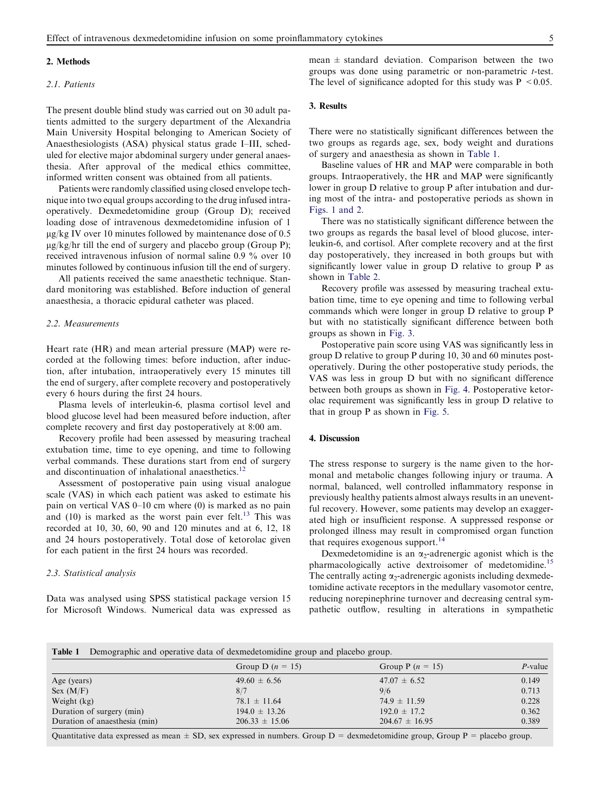#### 2. Methods

## 2.1. Patients

The present double blind study was carried out on 30 adult patients admitted to the surgery department of the Alexandria Main University Hospital belonging to American Society of Anaesthesiologists (ASA) physical status grade I–III, scheduled for elective major abdominal surgery under general anaesthesia. After approval of the medical ethics committee, informed written consent was obtained from all patients.

Patients were randomly classified using closed envelope technique into two equal groups according to the drug infused intraoperatively. Dexmedetomidine group (Group D); received loading dose of intravenous dexmedetomidine infusion of 1  $\mu$ g/kg IV over 10 minutes followed by maintenance dose of 0.5  $\mu$ g/kg/hr till the end of surgery and placebo group (Group P); received intravenous infusion of normal saline 0.9 % over 10 minutes followed by continuous infusion till the end of surgery.

All patients received the same anaesthetic technique. Standard monitoring was established. Before induction of general anaesthesia, a thoracic epidural catheter was placed.

## 2.2. Measurements

Heart rate (HR) and mean arterial pressure (MAP) were recorded at the following times: before induction, after induction, after intubation, intraoperatively every 15 minutes till the end of surgery, after complete recovery and postoperatively every 6 hours during the first 24 hours.

Plasma levels of interleukin-6, plasma cortisol level and blood glucose level had been measured before induction, after complete recovery and first day postoperatively at 8:00 am.

Recovery profile had been assessed by measuring tracheal extubation time, time to eye opening, and time to following verbal commands. These durations start from end of surgery and discontinuation of inhalational anaesthetics.<sup>1</sup>

Assessment of postoperative pain using visual analogue scale (VAS) in which each patient was asked to estimate his pain on vertical VAS 0–10 cm where (0) is marked as no pain and  $(10)$  is marked as the worst pain ever felt.<sup>[13](#page-5-0)</sup> This was recorded at 10, 30, 60, 90 and 120 minutes and at 6, 12, 18 and 24 hours postoperatively. Total dose of ketorolac given for each patient in the first 24 hours was recorded.

## 2.3. Statistical analysis

Data was analysed using SPSS statistical package version 15 for Microsoft Windows. Numerical data was expressed as mean  $\pm$  standard deviation. Comparison between the two groups was done using parametric or non-parametric t-test. The level of significance adopted for this study was  $P \le 0.05$ .

## 3. Results

There were no statistically significant differences between the two groups as regards age, sex, body weight and durations of surgery and anaesthesia as shown in Table 1.

Baseline values of HR and MAP were comparable in both groups. Intraoperatively, the HR and MAP were significantly lower in group D relative to group P after intubation and during most of the intra- and postoperative periods as shown in [Figs. 1 and 2](#page-3-0).

There was no statistically significant difference between the two groups as regards the basal level of blood glucose, interleukin-6, and cortisol. After complete recovery and at the first day postoperatively, they increased in both groups but with significantly lower value in group D relative to group P as shown in [Table 2.](#page-3-0)

Recovery profile was assessed by measuring tracheal extubation time, time to eye opening and time to following verbal commands which were longer in group D relative to group P but with no statistically significant difference between both groups as shown in [Fig. 3](#page-4-0).

Postoperative pain score using VAS was significantly less in group D relative to group P during 10, 30 and 60 minutes postoperatively. During the other postoperative study periods, the VAS was less in group D but with no significant difference between both groups as shown in [Fig. 4.](#page-4-0) Postoperative ketorolac requirement was significantly less in group D relative to that in group P as shown in [Fig. 5](#page-4-0).

## 4. Discussion

The stress response to surgery is the name given to the hormonal and metabolic changes following injury or trauma. A normal, balanced, well controlled inflammatory response in previously healthy patients almost always results in an uneventful recovery. However, some patients may develop an exaggerated high or insufficient response. A suppressed response or prolonged illness may result in compromised organ function that requires exogenous support. $^{14}$  $^{14}$  $^{14}$ 

Dexmedetomidine is an  $\alpha_2$ -adrenergic agonist which is the pharmacologically active dextroisomer of medetomidine.<sup>[15](#page-5-0)</sup> The centrally acting  $\alpha_2$ -adrenergic agonists including dexmedetomidine activate receptors in the medullary vasomotor centre, reducing norepinephrine turnover and decreasing central sympathetic outflow, resulting in alterations in sympathetic

| Demographic and operative data of dexmedetomidine group and placebo group.<br>Table 1 |                             |                                              |            |  |  |
|---------------------------------------------------------------------------------------|-----------------------------|----------------------------------------------|------------|--|--|
|                                                                                       | Group D $(n = 15)$          | Group P $(n = 15)$                           | $P$ -value |  |  |
| Age (years)                                                                           | $49.60 \pm 6.56$            | $47.07 \pm 6.52$                             | 0.149      |  |  |
| Sex (M/F)                                                                             | 8/7                         | 9/6                                          | 0.713      |  |  |
| Weight (kg)                                                                           | $78.1 \pm 11.64$            | $74.9 \pm 11.59$                             | 0.228      |  |  |
| Duration of surgery (min)                                                             | $194.0 \pm 13.26$           | $192.0 \pm 17.2$                             | 0.362      |  |  |
| Duration of anaesthesia (min)                                                         | $206.33 \pm 15.06$          | $204.67 \pm 16.95$                           | 0.389      |  |  |
| $\sim$ $\sim$ $\sim$<br>$\sim$ $\sim$                                                 | $\sim$ $\sim$ $\sim$ $\sim$ | $\sim$<br>$\sim$ $\sim$ $\sim$ $\sim$ $\sim$ |            |  |  |

Quantitative data expressed as mean  $\pm$  SD, sex expressed in numbers. Group  $D =$  dexmedetomidine group, Group  $P =$  placebo group.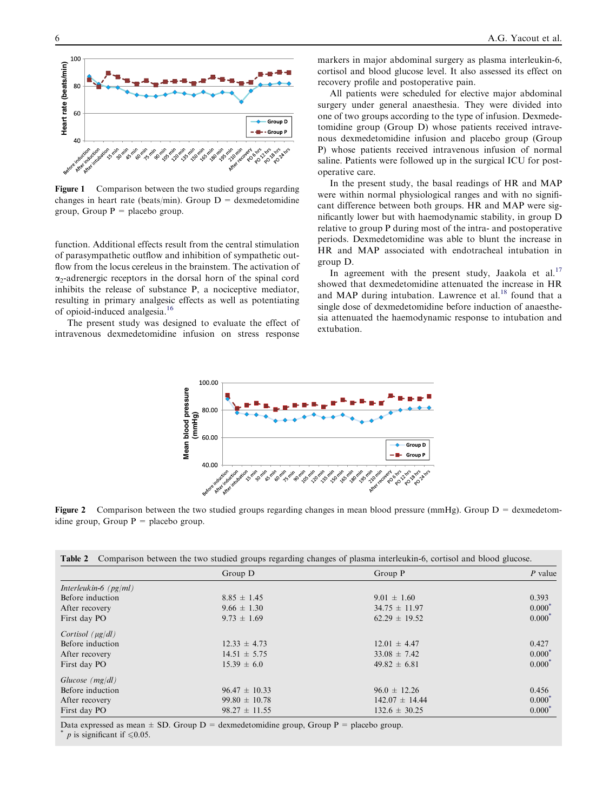<span id="page-3-0"></span>

Figure 1 Comparison between the two studied groups regarding changes in heart rate (beats/min). Group  $D =$  dexmedetomidine group, Group  $P =$  placebo group.

function. Additional effects result from the central stimulation of parasympathetic outflow and inhibition of sympathetic outflow from the locus cereleus in the brainstem. The activation of  $\alpha$ -adrenergic receptors in the dorsal horn of the spinal cord inhibits the release of substance P, a nociceptive mediator, resulting in primary analgesic effects as well as potentiating of opioid-induced analgesia.[16](#page-5-0)

The present study was designed to evaluate the effect of intravenous dexmedetomidine infusion on stress response markers in major abdominal surgery as plasma interleukin-6, cortisol and blood glucose level. It also assessed its effect on recovery profile and postoperative pain.

All patients were scheduled for elective major abdominal surgery under general anaesthesia. They were divided into one of two groups according to the type of infusion. Dexmedetomidine group (Group D) whose patients received intravenous dexmedetomidine infusion and placebo group (Group P) whose patients received intravenous infusion of normal saline. Patients were followed up in the surgical ICU for postoperative care.

In the present study, the basal readings of HR and MAP were within normal physiological ranges and with no significant difference between both groups. HR and MAP were significantly lower but with haemodynamic stability, in group D relative to group P during most of the intra- and postoperative periods. Dexmedetomidine was able to blunt the increase in HR and MAP associated with endotracheal intubation in group D.

In agreement with the present study, Jaakola et al. $17$ showed that dexmedetomidine attenuated the increase in HR and MAP during intubation. Lawrence et al. $^{18}$  $^{18}$  $^{18}$  found that a single dose of dexmedetomidine before induction of anaesthesia attenuated the haemodynamic response to intubation and extubation.



Figure 2 Comparison between the two studied groups regarding changes in mean blood pressure (mmHg). Group  $D =$  dexmedetomidine group, Group  $P =$  placebo group.

| Table 2 |  |  |  | Comparison between the two studied groups regarding changes of plasma interleukin-6, cortisol and blood glucose. |  |
|---------|--|--|--|------------------------------------------------------------------------------------------------------------------|--|
|         |  |  |  |                                                                                                                  |  |

|                         | Group D           | Group P            | $P$ value |  |
|-------------------------|-------------------|--------------------|-----------|--|
| Interleukin-6 $(pg/ml)$ |                   |                    |           |  |
| Before induction        | $8.85 \pm 1.45$   | $9.01 \pm 1.60$    | 0.393     |  |
| After recovery          | $9.66 \pm 1.30$   | $34.75 \pm 11.97$  | $0.000*$  |  |
| First day PO            | $9.73 \pm 1.69$   | $62.29 \pm 19.52$  | $0.000*$  |  |
| Cortisol $(\mu g/dl)$   |                   |                    |           |  |
| Before induction        | $12.33 \pm 4.73$  | $12.01 \pm 4.47$   | 0.427     |  |
| After recovery          | $14.51 \pm 5.75$  | $33.08 \pm 7.42$   | $0.000*$  |  |
| First day PO            | $15.39 \pm 6.0$   | $49.82 \pm 6.81$   | $0.000*$  |  |
| Glucose $(mg/dl)$       |                   |                    |           |  |
| Before induction        | $96.47 \pm 10.33$ | $96.0 \pm 12.26$   | 0.456     |  |
| After recovery          | $99.80 \pm 10.78$ | $142.07 \pm 14.44$ | $0.000*$  |  |
| First day PO            | $98.27 \pm 11.55$ | $132.6 \pm 30.25$  | $0.000*$  |  |

Data expressed as mean  $\pm$  SD. Group D = dexmedetomidine group, Group P = placebo group.

*p* is significant if  $\leq 0.05$ .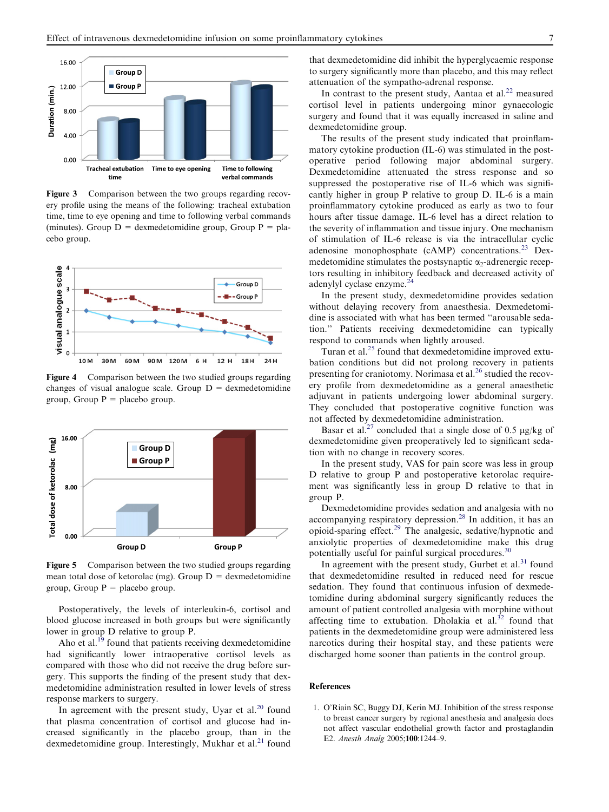<span id="page-4-0"></span>

Figure 3 Comparison between the two groups regarding recovery profile using the means of the following: tracheal extubation time, time to eye opening and time to following verbal commands (minutes). Group  $D =$  dexmedetomidine group, Group  $P =$  placebo group.



Figure 4 Comparison between the two studied groups regarding changes of visual analogue scale. Group  $D =$  dexmedetomidine group, Group  $P =$  placebo group.



Figure 5 Comparison between the two studied groups regarding mean total dose of ketorolac (mg). Group  $D =$  dexmedetomidine group, Group  $P =$  placebo group.

Postoperatively, the levels of interleukin-6, cortisol and blood glucose increased in both groups but were significantly lower in group D relative to group P.

Aho et al. $^{19}$  $^{19}$  $^{19}$  found that patients receiving dexmedetomidine had significantly lower intraoperative cortisol levels as compared with those who did not receive the drug before surgery. This supports the finding of the present study that dexmedetomidine administration resulted in lower levels of stress response markers to surgery.

In agreement with the present study, Uyar et al. $^{20}$  $^{20}$  $^{20}$  found that plasma concentration of cortisol and glucose had increased significantly in the placebo group, than in the dexmedetomidine group. Interestingly, Mukhar et al.<sup>[21](#page-5-0)</sup> found that dexmedetomidine did inhibit the hyperglycaemic response to surgery significantly more than placebo, and this may reflect attenuation of the sympatho-adrenal response.

In contrast to the present study, Aantaa et al.<sup>22</sup> measured cortisol level in patients undergoing minor gynaecologic surgery and found that it was equally increased in saline and dexmedetomidine group.

The results of the present study indicated that proinflammatory cytokine production (IL-6) was stimulated in the postoperative period following major abdominal surgery. Dexmedetomidine attenuated the stress response and so suppressed the postoperative rise of IL-6 which was significantly higher in group P relative to group D. IL-6 is a main proinflammatory cytokine produced as early as two to four hours after tissue damage. IL-6 level has a direct relation to the severity of inflammation and tissue injury. One mechanism of stimulation of IL-6 release is via the intracellular cyclic adenosine monophosphate (cAMP) concentrations.<sup>[23](#page-5-0)</sup> Dexmedetomidine stimulates the postsynaptic  $\alpha_2$ -adrenergic receptors resulting in inhibitory feedback and decreased activity of adenylyl cyclase enzyme.[24](#page-5-0)

In the present study, dexmedetomidine provides sedation without delaying recovery from anaesthesia. Dexmedetomidine is associated with what has been termed ''arousable sedation.'' Patients receiving dexmedetomidine can typically respond to commands when lightly aroused.

Turan et al. $^{25}$  $^{25}$  $^{25}$  found that dexmedetomidine improved extubation conditions but did not prolong recovery in patients presenting for craniotomy. Norimasa et al.<sup>[26](#page-5-0)</sup> studied the recovery profile from dexmedetomidine as a general anaesthetic adjuvant in patients undergoing lower abdominal surgery. They concluded that postoperative cognitive function was not affected by dexmedetomidine administration.

Basar et al.<sup>[27](#page-5-0)</sup> concluded that a single dose of 0.5  $\mu$ g/kg of dexmedetomidine given preoperatively led to significant sedation with no change in recovery scores.

In the present study, VAS for pain score was less in group D relative to group P and postoperative ketorolac requirement was significantly less in group D relative to that in group P.

Dexmedetomidine provides sedation and analgesia with no accompanying respiratory depression.<sup>[28](#page-5-0)</sup> In addition, it has an opioid-sparing effect.[29](#page-5-0) The analgesic, sedative/hypnotic and anxiolytic properties of dexmedetomidine make this drug potentially useful for painful surgical procedures.<sup>3</sup>

In agreement with the present study, Gurbet et al. $31$  found that dexmedetomidine resulted in reduced need for rescue sedation. They found that continuous infusion of dexmedetomidine during abdominal surgery significantly reduces the amount of patient controlled analgesia with morphine without affecting time to extubation. Dholakia et al. $32$  found that patients in the dexmedetomidine group were administered less narcotics during their hospital stay, and these patients were discharged home sooner than patients in the control group.

### References

1. O'Riain SC, Buggy DJ, Kerin MJ. Inhibition of the stress response to breast cancer surgery by regional anesthesia and analgesia does not affect vascular endothelial growth factor and prostaglandin E2. Anesth Analg 2005;100:1244–9.